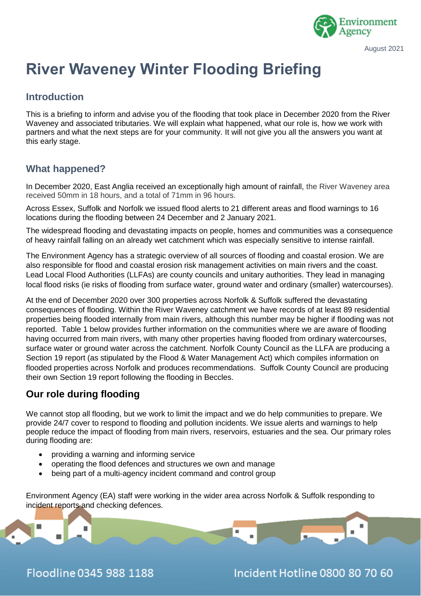

# **River Waveney Winter Flooding Briefing**

#### **Introduction**

This is a briefing to inform and advise you of the flooding that took place in December 2020 from the River Waveney and associated tributaries. We will explain what happened, what our role is, how we work with partners and what the next steps are for your community. It will not give you all the answers you want at this early stage.

#### **What happened?**

In December 2020, East Anglia received an exceptionally high amount of rainfall, the River Waveney area received 50mm in 18 hours, and a total of 71mm in 96 hours.

Across Essex, Suffolk and Norfolk we issued flood alerts to 21 different areas and flood warnings to 16 locations during the flooding between 24 December and 2 January 2021.

The widespread flooding and devastating impacts on people, homes and communities was a consequence of heavy rainfall falling on an already wet catchment which was especially sensitive to intense rainfall.

The Environment Agency has a strategic overview of all sources of flooding and coastal erosion. We are also responsible for flood and coastal erosion risk management activities on main rivers and the coast. Lead Local Flood Authorities (LLFAs) are county councils and unitary authorities. They lead in managing local flood risks (ie risks of flooding from surface water, ground water and ordinary (smaller) watercourses).

At the end of December 2020 over 300 properties across Norfolk & Suffolk suffered the devastating consequences of flooding. Within the River Waveney catchment we have records of at least 89 residential properties being flooded internally from main rivers, although this number may be higher if flooding was not reported. Table 1 below provides further information on the communities where we are aware of flooding having occurred from main rivers, with many other properties having flooded from ordinary watercourses, surface water or ground water across the catchment. Norfolk County Council as the LLFA are producing a Section 19 report (as stipulated by the Flood & Water Management Act) which compiles information on flooded properties across Norfolk and produces recommendations. Suffolk County Council are producing their own Section 19 report following the flooding in Beccles.

## **Our role during flooding**

We cannot stop all flooding, but we work to limit the impact and we do help communities to prepare. We provide 24/7 cover to respond to flooding and pollution incidents. We issue alerts and warnings to help people reduce the impact of flooding from main rivers, reservoirs, estuaries and the sea. Our primary roles during flooding are:

- providing a warning and informing service
- operating the flood defences and structures we own and manage
- being part of a multi-agency incident command and control group

Environment Agency (EA) staff were working in the wider area across Norfolk & Suffolk responding to incident reports and checking defences.

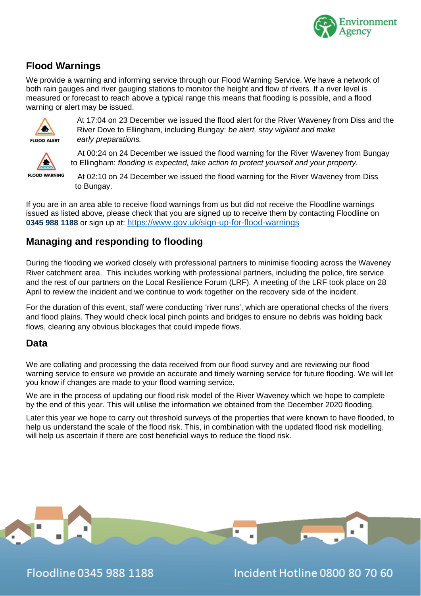

## **Flood Warnings**

We provide a warning and informing service through our Flood Warning Service. We have a network of both rain gauges and river gauging stations to monitor the height and flow of rivers. If a river level is measured or forecast to reach above a typical range this means that flooding is possible, and a flood warning or alert may be issued.



At 17:04 on 23 December we issued the flood alert for the River Waveney from Diss and the River Dove to Ellingham, including Bungay: *be alert, stay vigilant and make early preparations.*



 At 00:24 on 24 December we issued the flood warning for the River Waveney from Bungay to Ellingham: *flooding is expected, take action to protect yourself and your property.*

**FLOOD WARNING** 

At 02:10 on 24 December we issued the flood warning for the River Waveney from Diss to Bungay.

If you are in an area able to receive flood warnings from us but did not receive the Floodline warnings issued as listed above, please check that you are signed up to receive them by contacting Floodline on **0345 988 1188** or sign up at: <https://www.gov.uk/sign-up-for-flood-warnings>

## **Managing and responding to flooding**

During the flooding we worked closely with professional partners to minimise flooding across the Waveney River catchment area. This includes working with professional partners, including the police, fire service and the rest of our partners on the Local Resilience Forum (LRF). A meeting of the LRF took place on 28 April to review the incident and we continue to work together on the recovery side of the incident.

For the duration of this event, staff were conducting 'river runs', which are operational checks of the rivers and flood plains. They would check local pinch points and bridges to ensure no debris was holding back flows, clearing any obvious blockages that could impede flows.

### **Data**

We are collating and processing the data received from our flood survey and are reviewing our flood warning service to ensure we provide an accurate and timely warning service for future flooding. We will let you know if changes are made to your flood warning service.

We are in the process of updating our flood risk model of the River Waveney which we hope to complete by the end of this year. This will utilise the information we obtained from the December 2020 flooding.

Later this year we hope to carry out threshold surveys of the properties that were known to have flooded, to help us understand the scale of the flood risk. This, in combination with the updated flood risk modelling, will help us ascertain if there are cost beneficial ways to reduce the flood risk.



Floodline 0345 988 1188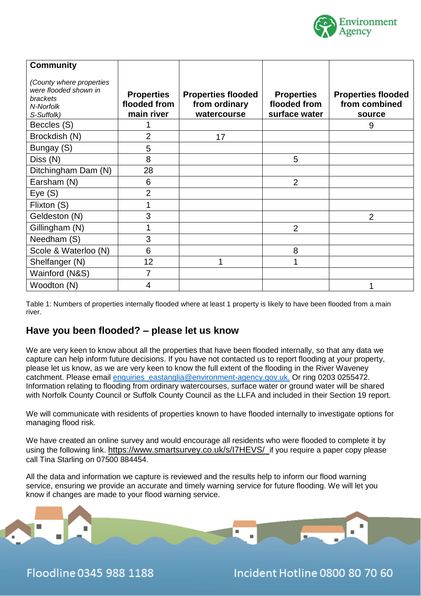

| <b>Community</b><br>(County where properties                 |                                                 |                                                           |                                                    |                                                      |
|--------------------------------------------------------------|-------------------------------------------------|-----------------------------------------------------------|----------------------------------------------------|------------------------------------------------------|
| were flooded shown in<br>brackets<br>N-Norfolk<br>S-Suffolk) | <b>Properties</b><br>flooded from<br>main river | <b>Properties flooded</b><br>from ordinary<br>watercourse | <b>Properties</b><br>flooded from<br>surface water | <b>Properties flooded</b><br>from combined<br>source |
| Beccles (S)                                                  |                                                 |                                                           |                                                    | 9                                                    |
| Brockdish (N)                                                | $\overline{2}$                                  | 17                                                        |                                                    |                                                      |
| Bungay (S)                                                   | 5                                               |                                                           |                                                    |                                                      |
| Diss (N)                                                     | 8                                               |                                                           | 5                                                  |                                                      |
| Ditchingham Dam (N)                                          | 28                                              |                                                           |                                                    |                                                      |
| Earsham (N)                                                  | 6                                               |                                                           | $\overline{2}$                                     |                                                      |
| Eye(S)                                                       | 2                                               |                                                           |                                                    |                                                      |
| Flixton (S)                                                  |                                                 |                                                           |                                                    |                                                      |
| Geldeston (N)                                                | 3                                               |                                                           |                                                    | 2                                                    |
| Gillingham (N)                                               |                                                 |                                                           | $\overline{2}$                                     |                                                      |
| Needham (S)                                                  | 3                                               |                                                           |                                                    |                                                      |
| Scole & Waterloo (N)                                         | 6                                               |                                                           | 8                                                  |                                                      |
| Shelfanger (N)                                               | 12                                              |                                                           |                                                    |                                                      |
| Wainford (N&S)                                               | 7                                               |                                                           |                                                    |                                                      |
| Woodton (N)                                                  | 4                                               |                                                           |                                                    |                                                      |

Table 1: Numbers of properties internally flooded where at least 1 property is likely to have been flooded from a main river.

#### **Have you been flooded? – please let us know**

We are very keen to know about all the properties that have been flooded internally, so that any data we capture can help inform future decisions. If you have not contacted us to report flooding at your property, please let us know, as we are very keen to know the full extent of the flooding in the River Waveney catchment. Please email [enquiries\\_eastanglia@environment-agency.gov.uk.](mailto:enquiries_eastanglia@environment-agency.gov.uk) Or ring 0203 0255472. Information relating to flooding from ordinary watercourses, surface water or ground water will be shared with Norfolk County Council or Suffolk County Council as the LLFA and included in their Section 19 report.

We will communicate with residents of properties known to have flooded internally to investigate options for managing flood risk.

We have created an online survey and would encourage all residents who were flooded to complete it by using the following link. <https://www.smartsurvey.co.uk/s/I7HEVS/>if you require a paper copy please call Tina Starling on 07500 884454.

All the data and information we capture is reviewed and the results help to inform our flood warning service, ensuring we provide an accurate and timely warning service for future flooding. We will let you know if changes are made to your flood warning service.



Floodline 0345 988 1188